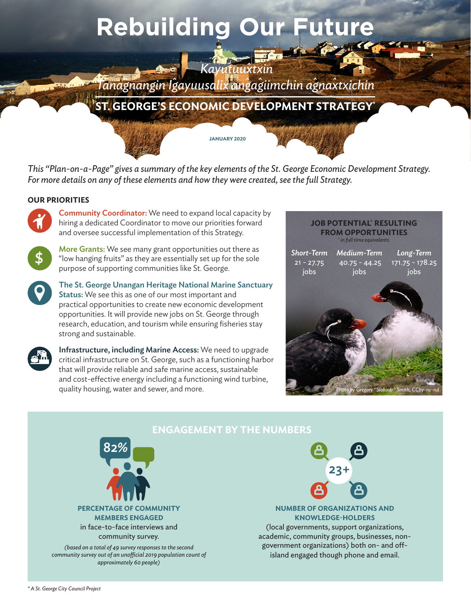# **Rebuilding Our Future**

## *Tanagnangin Igayuusalix angagiimchin agnaxtxichin*

 *Kayutuuxtxin*

**ST. GEORGE'S ECONOMIC DEVELOPMENT STRATEGY\***

*This "Plan-on-a-Page" gives a summary of the key elements of the St. George Economic Development Strategy. For more details on any of these elements and how they were created, see the full Strategy.*

**JANUARY 2020**

## **OUR PRIORITIES**

**Community Coordinator:** We need to expand local capacity by hiring a dedicated Coordinator to move our priorities forward and oversee successful implementation of this Strategy.



More Grants: We see many grant opportunities out there as "low hanging fruits" as they are essentially set up for the sole purpose of supporting communities like St. George.



The St. George Unangan Heritage National Marine Sanctuary Status: We see this as one of our most important and practical opportunities to create new economic development opportunities. It will provide new jobs on St. George through research, education, and tourism while ensuring fisheries stay



strong and sustainable.

Infrastructure, including Marine Access: We need to upgrade critical infrastructure on St. George, such as a functioning harbor that will provide reliable and safe marine access, sustainable and cost-effective energy including a functioning wind turbine, quality housing, water and sewer, and more.

## **JOB POTENTIAL' RESULTING FROM OPPORTUNITIES** *+ in full time equivalents. Short-Term*   $21 - 27.75$ jobs *Medium-Term*  40.75 - 44.25 jobs *Long-Term*  171.75 - 178.25 jobs *Photo by Gregory "Slobirdr" Smith, CCby-nc-nd*